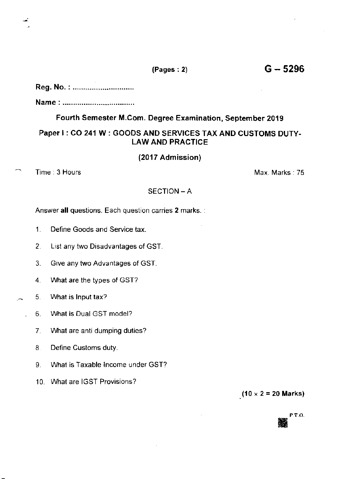# Reg. No. :.............................

Name: ................................

## Fourth Semester M.Com. Degree Examination, September 2019

## Paper I : CO 241 W : GOODS AND SERVICES TAX AND CUSTOMS DUTY-LAW AND PRACTICE

### (2017 Admission)

 $\bigcap$  Time: 3 Hours lvans lvans lvans lvans lvans lvans lvans lvans lvans lvans lvans lvans lvans lvans lvans lvans lvans lvans lvans lvans lvans lvans lvans lvans lvans lvans lvans lvans lvans lvans lvans lvans lvans lva

#### SECTION - A

Answer all questions. Each question carries 2 marks. :

- 1. Define Goods and Service tax.
- 2. List any two Disadvantages of GST.
- 3. Give any two Advantages of GST.
- 4. What are the types of GST?
- $\sim$  5. What is lnput tax?
	- 6. What is Dual GST model?
		- 7. What are anti dumping duties?
		- 8. Define Customs duty.
		- 9. What is Taxable lncome under GST?
		- 10. What are IGST Provisions?

 $(10 \times 2 = 20$  Marks)



 $(Pages:2)$  G - 5296